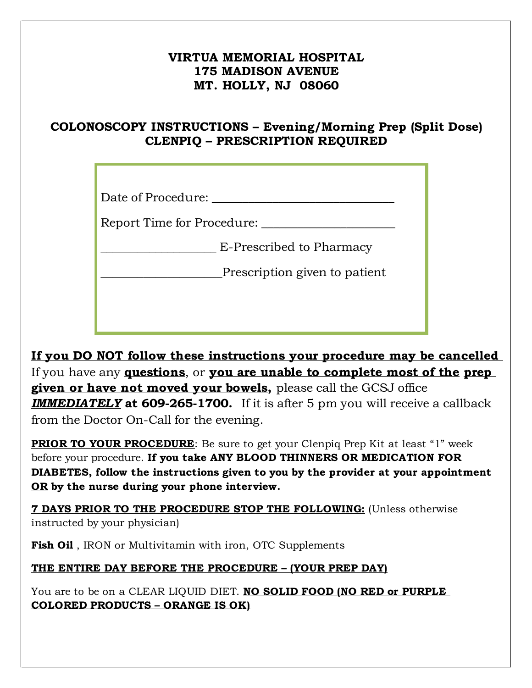## **VIRTUA MEMORIAL HOSPITAL 175 MADISON AVENUE MT. HOLLY, NJ 08060**

## **COLONOSCOPY INSTRUCTIONS – Evening/Morning Prep (Split Dose) CLENPIQ – PRESCRIPTION REQUIRED**

Date of Procedure:

Report Time for Procedure: \_\_\_\_\_\_\_\_\_\_\_\_\_\_\_\_\_\_\_\_\_\_

Place of Procedure: \_\_\_\_\_\_\_\_\_\_\_\_\_\_\_\_\_\_\_\_\_\_\_\_\_\_\_\_\_\_ \_\_\_\_\_\_\_\_\_\_\_\_\_\_\_\_\_\_\_ E-Prescribed to Pharmacy

\_\_\_\_\_\_\_\_\_\_\_\_\_\_\_\_\_\_\_ E-Prescribed to Pharmacy \_\_\_\_\_\_\_\_\_\_\_\_\_\_\_\_\_\_\_\_Prescription given to patient

**If you DO NOT follow these instructions your procedure may be cancelled**  If you have any **questions**, or **you are unable to complete most of the prep given or have not moved your bowels,** please call the GCSJ office *IMMEDIATELY* **at 609-265-1700.** If it is after 5 pm you will receive a callback from the Doctor On-Call for the evening.

**PRIOR TO YOUR PROCEDURE**: Be sure to get your Clenpiq Prep Kit at least "1" week before your procedure. **If you take ANY BLOOD THINNERS OR MEDICATION FOR DIABETES, follow the instructions given to you by the provider at your appointment OR by the nurse during your phone interview.**

**7 DAYS PRIOR TO THE PROCEDURE STOP THE FOLLOWING:** (Unless otherwise instructed by your physician)

**Fish Oil** , IRON or Multivitamin with iron, OTC Supplements

**THE ENTIRE DAY BEFORE THE PROCEDURE – (YOUR PREP DAY)**

You are to be on a CLEAR LIQUID DIET. **NO SOLID FOOD (NO RED or PURPLE COLORED PRODUCTS – ORANGE IS OK)**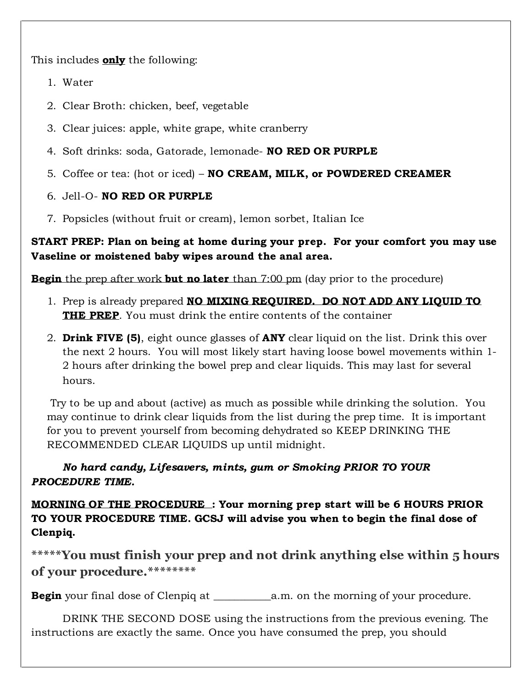This includes **only** the following:

- 1. Water
- 2. Clear Broth: chicken, beef, vegetable
- 3. Clear juices: apple, white grape, white cranberry
- 4. Soft drinks: soda, Gatorade, lemonade- **NO RED OR PURPLE**
- 5. Coffee or tea: (hot or iced) **NO CREAM, MILK, or POWDERED CREAMER**
- 6. Jell-O- **NO RED OR PURPLE**
- 7. Popsicles (without fruit or cream), lemon sorbet, Italian Ice

**START PREP: Plan on being at home during your prep. For your comfort you may use Vaseline or moistened baby wipes around the anal area.** 

**Begin** the prep after work **but no later** than 7:00 pm (day prior to the procedure)

- 1. Prep is already prepared **NO MIXING REQUIRED. DO NOT ADD ANY LIQUID TO THE PREP**. You must drink the entire contents of the container
- 2. **Drink FIVE (5)**, eight ounce glasses of **ANY** clear liquid on the list. Drink this over the next 2 hours. You will most likely start having loose bowel movements within 1- 2 hours after drinking the bowel prep and clear liquids. This may last for several hours.

 Try to be up and about (active) as much as possible while drinking the solution. You may continue to drink clear liquids from the list during the prep time. It is important for you to prevent yourself from becoming dehydrated so KEEP DRINKING THE RECOMMENDED CLEAR LIQUIDS up until midnight.

## *No hard candy, Lifesavers, mints, gum or Smoking PRIOR TO YOUR PROCEDURE TIME.*

**MORNING OF THE PROCEDURE : Your morning prep start will be 6 HOURS PRIOR TO YOUR PROCEDURE TIME. GCSJ will advise you when to begin the final dose of Clenpiq.**

**\*\*\*\*\*You must finish your prep and not drink anything else within 5 hours of your procedure.\*\*\*\*\*\*\*\***

**Begin** your final dose of Clenpiq at \_\_\_\_\_\_\_\_\_\_\_a.m. on the morning of your procedure.

DRINK THE SECOND DOSE using the instructions from the previous evening. The instructions are exactly the same. Once you have consumed the prep, you should